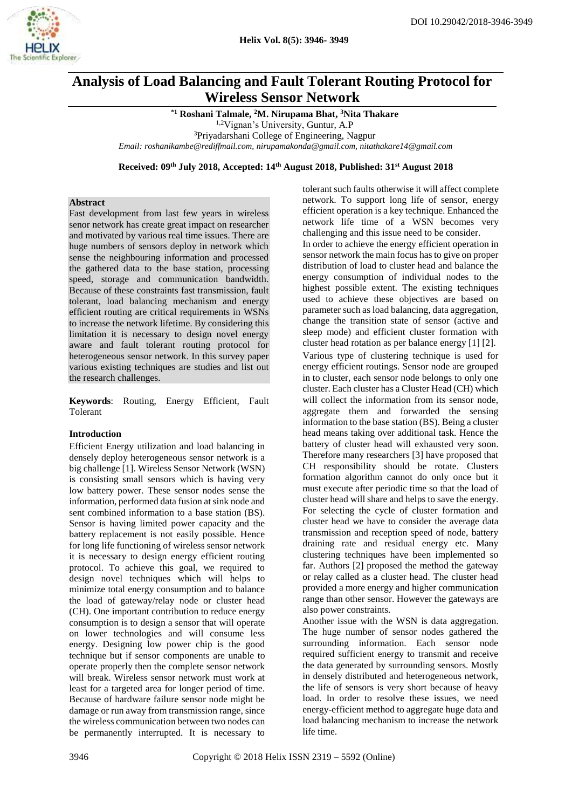

# **Analysis of Load Balancing and Fault Tolerant Routing Protocol for Wireless Sensor Network**

**\*1 Roshani Talmale, <sup>2</sup>M. Nirupama Bhat, <sup>3</sup>Nita Thakare** 

1,2Vignan's University, Guntur, A.P

<sup>3</sup>Priyadarshani College of Engineering, Nagpur

*Email: roshanikambe@rediffmail.com, [nirupamakonda@gmail.com, nitathakare14@gmail.com](mailto:nirupamakonda@gmail.com)*

**Received: 09th July 2018, Accepted: 14th August 2018, Published: 31st August 2018**

# **Abstract**

Fast development from last few years in wireless senor network has create great impact on researcher and motivated by various real time issues. There are huge numbers of sensors deploy in network which sense the neighbouring information and processed the gathered data to the base station, processing speed, storage and communication bandwidth. Because of these constraints fast transmission, fault tolerant, load balancing mechanism and energy efficient routing are critical requirements in WSNs to increase the network lifetime. By considering this limitation it is necessary to design novel energy aware and fault tolerant routing protocol for heterogeneous sensor network. In this survey paper various existing techniques are studies and list out the research challenges.

**Keywords**: Routing, Energy Efficient, Fault Tolerant

#### **Introduction**

Efficient Energy utilization and load balancing in densely deploy heterogeneous sensor network is a big challenge [1]. Wireless Sensor Network (WSN) is consisting small sensors which is having very low battery power. These sensor nodes sense the information, performed data fusion at sink node and sent combined information to a base station (BS). Sensor is having limited power capacity and the battery replacement is not easily possible. Hence for long life functioning of wireless sensor network it is necessary to design energy efficient routing protocol. To achieve this goal, we required to design novel techniques which will helps to minimize total energy consumption and to balance the load of gateway/relay node or cluster head (CH). One important contribution to reduce energy consumption is to design a sensor that will operate on lower technologies and will consume less energy. Designing low power chip is the good technique but if sensor components are unable to operate properly then the complete sensor network will break. Wireless sensor network must work at least for a targeted area for longer period of time. Because of hardware failure sensor node might be damage or run away from transmission range, since the wireless communication between two nodes can be permanently interrupted. It is necessary to tolerant such faults otherwise it will affect complete network. To support long life of sensor, energy efficient operation is a key technique. Enhanced the network life time of a WSN becomes very challenging and this issue need to be consider. In order to achieve the energy efficient operation in sensor network the main focus has to give on proper distribution of load to cluster head and balance the energy consumption of individual nodes to the highest possible extent. The existing techniques used to achieve these objectives are based on parameter such as load balancing, data aggregation, change the transition state of sensor (active and sleep mode) and efficient cluster formation with cluster head rotation as per balance energy [1] [2]. Various type of clustering technique is used for energy efficient routings. Sensor node are grouped in to cluster, each sensor node belongs to only one cluster. Each cluster has a Cluster Head (CH) which will collect the information from its sensor node. aggregate them and forwarded the sensing information to the base station (BS). Being a cluster head means taking over additional task. Hence the battery of cluster head will exhausted very soon. Therefore many researchers [3] have proposed that CH responsibility should be rotate. Clusters formation algorithm cannot do only once but it must execute after periodic time so that the load of cluster head will share and helps to save the energy. For selecting the cycle of cluster formation and cluster head we have to consider the average data transmission and reception speed of node, battery draining rate and residual energy etc. Many clustering techniques have been implemented so far. Authors [2] proposed the method the gateway or relay called as a cluster head. The cluster head provided a more energy and higher communication range than other sensor. However the gateways are also power constraints.

Another issue with the WSN is data aggregation. The huge number of sensor nodes gathered the surrounding information. Each sensor node required sufficient energy to transmit and receive the data generated by surrounding sensors. Mostly in densely distributed and heterogeneous network, the life of sensors is very short because of heavy load. In order to resolve these issues, we need energy-efficient method to aggregate huge data and load balancing mechanism to increase the network life time.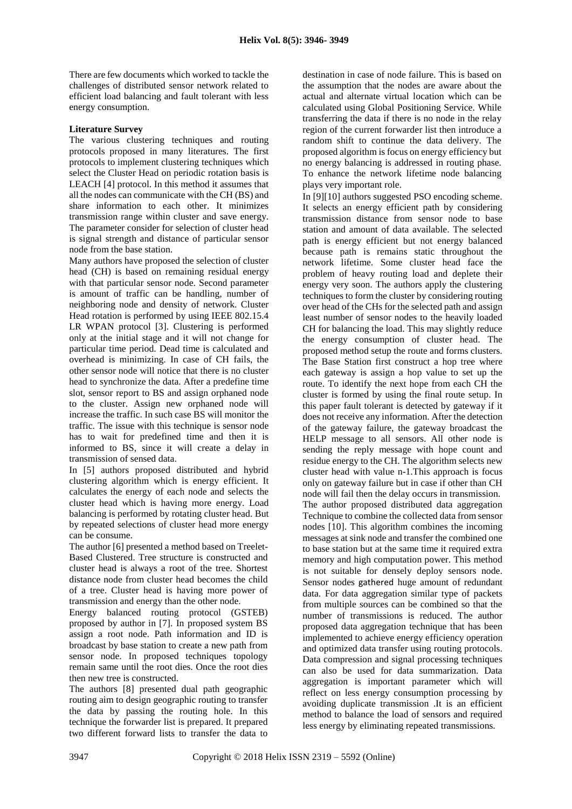There are few documents which worked to tackle the challenges of distributed sensor network related to efficient load balancing and fault tolerant with less energy consumption.

## **Literature Survey**

The various clustering techniques and routing protocols proposed in many literatures. The first protocols to implement clustering techniques which select the Cluster Head on periodic rotation basis is LEACH [4] protocol. In this method it assumes that all the nodes can communicate with the CH (BS) and share information to each other. It minimizes transmission range within cluster and save energy. The parameter consider for selection of cluster head is signal strength and distance of particular sensor node from the base station.

Many authors have proposed the selection of cluster head (CH) is based on remaining residual energy with that particular sensor node. Second parameter is amount of traffic can be handling, number of neighboring node and density of network. Cluster Head rotation is performed by using IEEE 802.15.4 LR WPAN protocol [3]. Clustering is performed only at the initial stage and it will not change for particular time period. Dead time is calculated and overhead is minimizing. In case of CH fails, the other sensor node will notice that there is no cluster head to synchronize the data. After a predefine time slot, sensor report to BS and assign orphaned node to the cluster. Assign new orphaned node will increase the traffic. In such case BS will monitor the traffic. The issue with this technique is sensor node has to wait for predefined time and then it is informed to BS, since it will create a delay in transmission of sensed data.

In [5] authors proposed distributed and hybrid clustering algorithm which is energy efficient. It calculates the energy of each node and selects the cluster head which is having more energy. Load balancing is performed by rotating cluster head. But by repeated selections of cluster head more energy can be consume.

The author [6] presented a method based on Treelet-Based Clustered. Tree structure is constructed and cluster head is always a root of the tree. Shortest distance node from cluster head becomes the child of a tree. Cluster head is having more power of transmission and energy than the other node.

Energy balanced routing protocol (GSTEB) proposed by author in [7]. In proposed system BS assign a root node. Path information and ID is broadcast by base station to create a new path from sensor node. In proposed techniques topology remain same until the root dies. Once the root dies then new tree is constructed.

The authors [8] presented dual path geographic routing aim to design geographic routing to transfer the data by passing the routing hole. In this technique the forwarder list is prepared. It prepared two different forward lists to transfer the data to

destination in case of node failure. This is based on the assumption that the nodes are aware about the actual and alternate virtual location which can be calculated using Global Positioning Service. While transferring the data if there is no node in the relay region of the current forwarder list then introduce a random shift to continue the data delivery. The proposed algorithm is focus on energy efficiency but no energy balancing is addressed in routing phase. To enhance the network lifetime node balancing plays very important role.

In [9][10] authors suggested PSO encoding scheme. It selects an energy efficient path by considering transmission distance from sensor node to base station and amount of data available. The selected path is energy efficient but not energy balanced because path is remains static throughout the network lifetime. Some cluster head face the problem of heavy routing load and deplete their energy very soon. The authors apply the clustering techniques to form the cluster by considering routing over head of the CHs for the selected path and assign least number of sensor nodes to the heavily loaded CH for balancing the load. This may slightly reduce the energy consumption of cluster head. The proposed method setup the route and forms clusters. The Base Station first construct a hop tree where each gateway is assign a hop value to set up the route. To identify the next hope from each CH the cluster is formed by using the final route setup. In this paper fault tolerant is detected by gateway if it does not receive any information. After the detection of the gateway failure, the gateway broadcast the HELP message to all sensors. All other node is sending the reply message with hope count and residue energy to the CH. The algorithm selects new cluster head with value n-1.This approach is focus only on gateway failure but in case if other than CH node will fail then the delay occurs in transmission. The author proposed distributed data aggregation Technique to combine the collected data from sensor nodes [10]. This algorithm combines the incoming messages at sink node and transfer the combined one to base station but at the same time it required extra memory and high computation power. This method is not suitable for densely deploy sensors node. Sensor nodes gathered huge amount of redundant data. For data aggregation similar type of packets from multiple sources can be combined so that the number of transmissions is reduced. The author proposed data aggregation technique that has been implemented to achieve energy efficiency operation and optimized data transfer using routing protocols. Data compression and signal processing techniques can also be used for data summarization. Data aggregation is important parameter which will reflect on less energy consumption processing by avoiding duplicate transmission .It is an efficient method to balance the load of sensors and required less energy by eliminating repeated transmissions.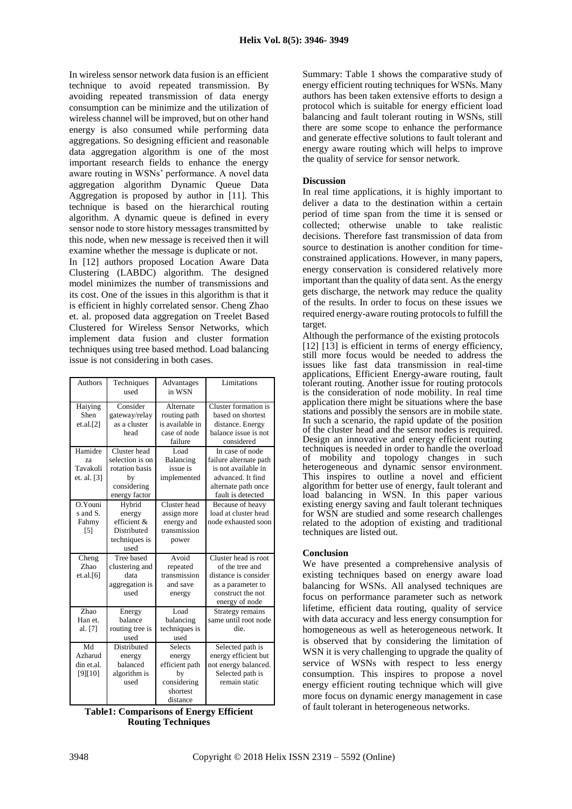In wireless sensor network data fusion is an efficient technique to avoid repeated transmission. By avoiding repeated transmission of data energy consumption can be minimize and the utilization of wireless channel will be improved, but on other hand energy is also consumed while performing data aggregations. So designing efficient and reasonable data aggregation algorithm is one of the most important research fields to enhance the energy aware routing in WSNs' performance. A novel data aggregation algorithm Dynamic Queue Data Aggregation is proposed by author in [11]. This technique is based on the hierarchical routing algorithm. A dynamic queue is defined in every sensor node to store history messages transmitted by this node, when new message is received then it will examine whether the message is duplicate or not.

In [12] authors proposed Location Aware Data Clustering (LABDC) algorithm. The designed model minimizes the number of transmissions and its cost. One of the issues in this algorithm is that it is efficient in highly correlated sensor. Cheng Zhao et. al. proposed data aggregation on Treelet Based Clustered for Wireless Sensor Networks, which implement data fusion and cluster formation techniques using tree based method. Load balancing issue is not considering in both cases.

| <b>Authors</b>                           | Techniques<br>used                                                                      | Advantages<br>in WSN                                                                    | Limitations                                                                                                                       |
|------------------------------------------|-----------------------------------------------------------------------------------------|-----------------------------------------------------------------------------------------|-----------------------------------------------------------------------------------------------------------------------------------|
| Haiying<br>Shen<br>et.al.[2]             | Consider<br>gateway/relay<br>as a cluster<br>head                                       | Alternate<br>routing path<br>is available in<br>case of node<br>failure                 | Cluster formation is<br>based on shortest<br>distance. Energy<br>balance issue is not<br>considered                               |
| Hamidre<br>za<br>Tavakoli<br>et. al. [3] | Cluster head<br>selection is on<br>rotation basis<br>by<br>considering<br>energy factor | Load<br>Balancing<br>issue is<br>implemented                                            | In case of node<br>failure alternate path<br>is not available in<br>advanced. It find<br>alternate path once<br>fault is detected |
| $O.Y$ ouni<br>s and S.<br>Fahmy<br>[5]   | Hybrid<br>energy<br>efficient &<br>Distributed<br>techniques is<br>used                 | Cluster head<br>assign more<br>energy and<br>transmission<br>power                      | Because of heavy<br>load at cluster head<br>node exhausted soon                                                                   |
| Cheng<br>Zhao<br>et.al.[6]               | Tree based<br>clustering and<br>data<br>aggregation is<br>used                          | Avoid<br>repeated<br>transmission<br>and save<br>energy                                 | Cluster head is root<br>of the tree and<br>distance is consider<br>as a parameter to<br>construct the not<br>energy of node       |
| Zhao<br>Han et.<br>al. [7]               | Energy<br>balance<br>routing tree is<br>used                                            | Load<br>balancing<br>techniques is<br>used                                              | Strategy remains<br>same until root node<br>die.                                                                                  |
| Md<br>Azharud<br>din et.al.<br>[9][10]   | Distributed<br>energy<br>balanced<br>algorithm is<br>used                               | <b>Selects</b><br>energy<br>efficient path<br>by<br>considering<br>shortest<br>distance | Selected path is<br>energy efficient but<br>not energy balanced.<br>Selected path is<br>remain static                             |

**Table1: Comparisons of Energy Efficient Routing Techniques**

Summary: Table 1 shows the comparative study of energy efficient routing techniques for WSNs. Many authors has been taken extensive efforts to design a protocol which is suitable for energy efficient load balancing and fault tolerant routing in WSNs, still there are some scope to enhance the performance and generate effective solutions to fault tolerant and energy aware routing which will helps to improve the quality of service for sensor network.

### **Discussion**

In real time applications, it is highly important to deliver a data to the destination within a certain period of time span from the time it is sensed or collected; otherwise unable to take realistic decisions. Therefore fast transmission of data from source to destination is another condition for timeconstrained applications. However, in many papers, energy conservation is considered relatively more important than the quality of data sent. As the energy gets discharge, the network may reduce the quality of the results. In order to focus on these issues we required energy-aware routing protocols to fulfill the target.

Although the performance of the existing protocols [12] [13] is efficient in terms of energy efficiency, still more focus would be needed to address the issues like fast data transmission in real-time applications, Efficient Energy-aware routing, fault tolerant routing. Another issue for routing protocols is the consideration of node mobility. In real time application there might be situations where the base stations and possibly the sensors are in mobile state. In such a scenario, the rapid update of the position of the cluster head and the sensor nodes is required. Design an innovative and energy efficient routing techniques is needed in order to handle the overload of mobility and topology changes in such heterogeneous and dynamic sensor environment. This inspires to outline a novel and efficient algorithm for better use of energy, fault tolerant and load balancing in WSN. In this paper various existing energy saving and fault tolerant techniques for WSN are studied and some research challenges related to the adoption of existing and traditional techniques are listed out.

#### **Conclusion**

We have presented a comprehensive analysis of existing techniques based on energy aware load balancing for WSNs. All analysed techniques are focus on performance parameter such as network lifetime, efficient data routing, quality of service with data accuracy and less energy consumption for homogeneous as well as heterogeneous network. It is observed that by considering the limitation of WSN it is very challenging to upgrade the quality of service of WSNs with respect to less energy consumption. This inspires to propose a novel energy efficient routing technique which will give more focus on dynamic energy management in case of fault tolerant in heterogeneous networks.